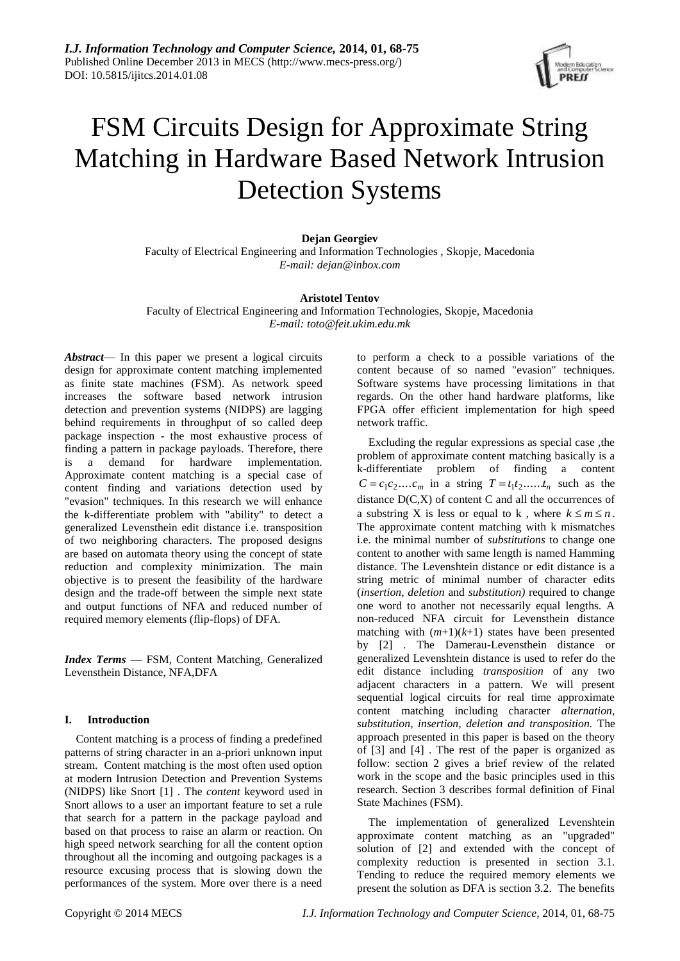

# FSM Circuits Design for Approximate String Matching in Hardware Based Network Intrusion Detection Systems

# **Dejan Georgiev**

Faculty of Electrical Engineering and Information Technologies , Skopje, Macedonia *E-mail: dejan@inbox.com*

# **Aristotel Tentov**

Faculty of Electrical Engineering and Information Technologies, Skopje, Macedonia *E-mail: toto@feit.ukim.edu.mk*

*Abstract*— In this paper we present a logical circuits design for approximate content matching implemented as finite state machines (FSM). As network speed increases the software based network intrusion detection and prevention systems (NIDPS) are lagging behind requirements in throughput of so called deep package inspection - the most exhaustive process of finding a pattern in package payloads. Therefore, there is a demand for hardware implementation. Approximate content matching is a special case of content finding and variations detection used by "evasion" techniques. In this research we will enhance the k-differentiate problem with "ability" to detect a generalized Levensthein edit distance i.e. transposition of two neighboring characters. The proposed designs are based on automata theory using the concept of state reduction and complexity minimization. The main objective is to present the feasibility of the hardware design and the trade-off between the simple next state and output functions of NFA and reduced number of required memory elements (flip-flops) of DFA.

*Index Terms* **—** FSM, Content Matching, Generalized Levensthein Distance, NFA,DFA

# **I. Introduction**

Content matching is a process of finding a predefined patterns of string character in an a-priori unknown input stream. Content matching is the most often used option at modern Intrusion Detection and Prevention Systems (NIDPS) like Snort [\[1\] .](#page-6-0) The *content* keyword used in Snort allows to a user an important feature to set a rule that search for a pattern in the package payload and based on that process to raise an alarm or reaction. On high speed network searching for all the content option throughout all the incoming and outgoing packages is a resource excusing process that is slowing down the performances of the system. More over there is a need to perform a check to a possible variations of the content because of so named "evasion" techniques. Software systems have processing limitations in that regards. On the other hand hardware platforms, like FPGA offer efficient implementation for high speed network traffic.

Excluding the regular expressions as special case ,the problem of approximate content matching basically is a k-differentiate problem of finding a content  $C = c_1 c_2 \dots c_m$  in a string  $T = t_1 t_2 \dots t_n$  such as the distance  $D(C,X)$  of content C and all the occurrences of a substring X is less or equal to k, where  $k \le m \le n$ . The approximate content matching with k mismatches i.e. the minimal number of *substitutions* to change one content to another with same length is named Hamming distance. The Levenshtein distance or edit distance is a string metric of minimal number of character edits (*insertion, deletion* and *substitution)* required to change one word to another not necessarily equal lengths. A non-reduced NFA circuit for Levensthein distance matching with  $(m+1)(k+1)$  states have been presented by [\[2\] .](#page-6-1) The Damerau-Levensthein distance or generalized Levenshtein distance is used to refer do the edit distance including *transposition* of any two adjacent characters in a pattern. We will present sequential logical circuits for real time approximate content matching including character *alternation, substitution, insertion, deletion and transposition.* The approach presented in this paper is based on the theory of [\[3\] a](#page-6-2)nd [\[4\] .](#page-6-3) The rest of the paper is organized as follow: section 2 gives a brief review of the related work in the scope and the basic principles used in this research. Section 3 describes formal definition of Final State Machines (FSM).

The implementation of generalized Levenshtein approximate content matching as an "upgraded" solution of [\[2\] a](#page-6-1)nd extended with the concept of complexity reduction is presented in section 3.1. Tending to reduce the required memory elements we present the solution as DFA is section 3.2. The benefits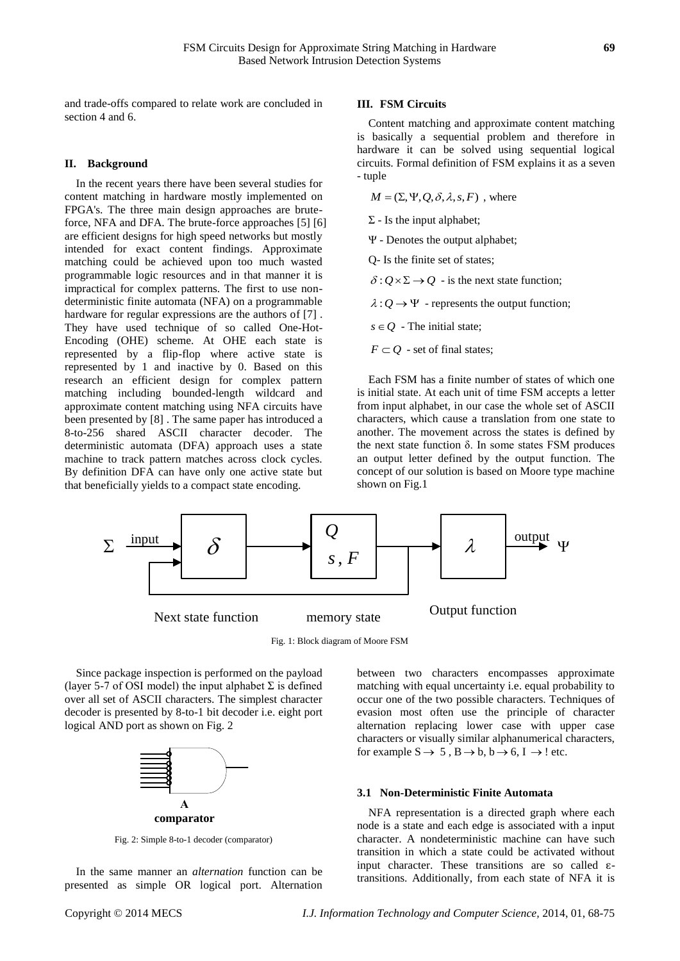and trade-offs compared to relate work are concluded in section 4 and 6.

#### **II. Background**

In the recent years there have been several studies for content matching in hardware mostly implemented on FPGA's. The three main design approaches are bruteforce, NFA and DFA. The brute-force approaches [\[5\] \[6\]](#page-6-4)  are efficient designs for high speed networks but mostly intended for exact content findings. Approximate matching could be achieved upon too much wasted programmable logic resources and in that manner it is impractical for complex patterns. The first to use nondeterministic finite automata (NFA) on a programmable hardware for regular expressions are the authors of [\[7\] .](#page-6-5) They have used technique of so called One-Hot-Encoding (OHE) scheme. At OHE each state is represented by a flip-flop where active state is represented by 1 and inactive by 0. Based on this research an efficient design for complex pattern matching including bounded-length wildcard and approximate content matching using NFA circuits have been presented by [\[8\] .](#page-6-6) The same paper has introduced a 8-to-256 shared ASCII character decoder. The deterministic automata (DFA) approach uses a state machine to track pattern matches across clock cycles. By definition DFA can have only one active state but that beneficially yields to a compact state encoding.

#### **III. FSM Circuits**

Content matching and approximate content matching is basically a sequential problem and therefore in hardware it can be solved using sequential logical circuits. Formal definition of FSM explains it as a seven - tuple

 $M = (\Sigma, \Psi, Q, \delta, \lambda, s, F)$ , where

 $\Sigma$  - Is the input alphabet;

Ψ - Denotes the output alphabet;

Q- Is the finite set of states;

 $\delta: Q \times \Sigma \rightarrow Q$  - is the next state function;

 $\lambda: Q \to \Psi$  - represents the output function;

 $s \in Q$  - The initial state;

 $F \subset Q$  - set of final states;

Each FSM has a finite number of states of which one is initial state. At each unit of time FSM accepts a letter from input alphabet, in our case the whole set of ASCII characters, which cause a translation from one state to another. The movement across the states is defined by the next state function  $δ$ . In some states FSM produces an output letter defined by the output function. The concept of our solution is based on Moore type machine shown on Fig.1



Fig. 1: Block diagram of Moore FSM

Since package inspection is performed on the payload (layer 5-7 of OSI model) the input alphabet  $\Sigma$  is defined over all set of ASCII characters. The simplest character decoder is presented by 8-to-1 bit decoder i.e. eight port logical AND port as shown on Fig. 2



Fig. 2: Simple 8-to-1 decoder (comparator)

In the same manner an *alternation* function can be presented as simple OR logical port. Alternation between two characters encompasses approximate matching with equal uncertainty i.e. equal probability to occur one of the two possible characters. Techniques of evasion most often use the principle of character alternation replacing lower case with upper case characters or visually similar alphanumerical characters, for example  $S \to 5$ ,  $B \to b$ ,  $b \to 6$ ,  $I \to !$  etc.

# **3.1 Non-Deterministic Finite Automata**

NFA representation is a directed graph where each node is a state and each edge is associated with a input character. A nondeterministic machine can have such transition in which a state could be activated without input character. These transitions are so called  $\varepsilon$ transitions. Additionally, from each state of NFA it is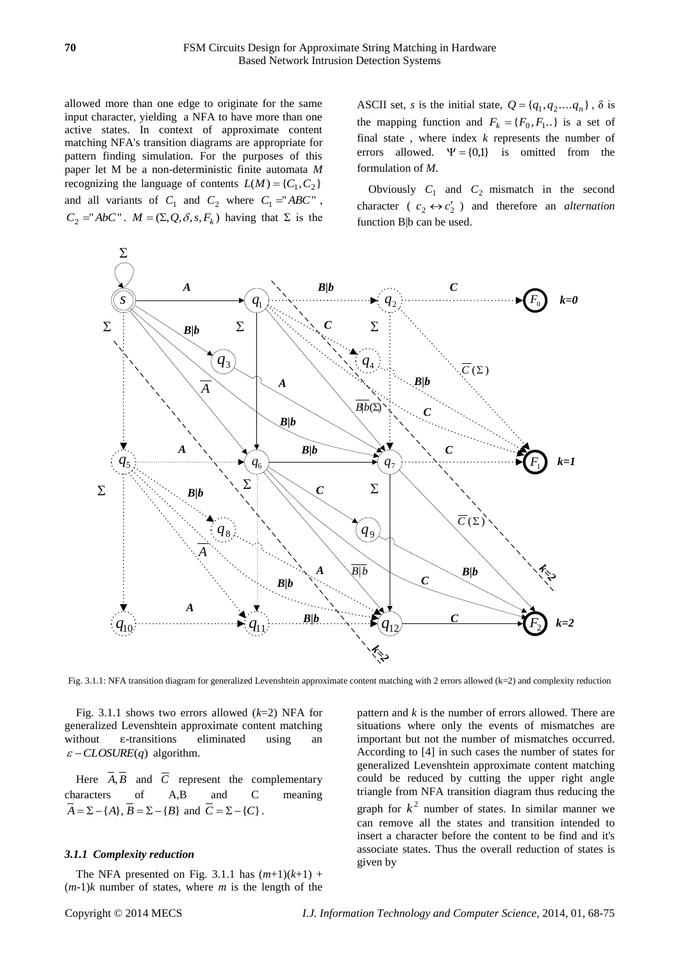allowed more than one edge to originate for the same input character, yielding a NFA to have more than one active states. In context of approximate content matching NFA's transition diagrams are appropriate for pattern finding simulation. For the purposes of this paper let M be a non-deterministic finite automata *M* recognizing the language of contents  $L(M) = \{C_1, C_2\}$ and all variants of  $C_1$  and  $C_2$  where  $C_1 = "ABC"$ ,  $C_2 = "AbC"$ .  $M = (\Sigma, Q, \delta, s, F_k)$  having that  $\Sigma$  is the

ASCII set, *s* is the initial state,  $Q = \{q_1, q_2, \dots, q_n\}$ ,  $\delta$  is the mapping function and  $F_k = \{F_0, F_1...\}$  is a set of final state , where index *k* represents the number of errors allowed.  $\Psi = \{0,1\}$  is omitted from the formulation of *M*.

Obviously  $C_1$  and  $C_2$  mismatch in the second character ( $c_2 \leftrightarrow c_2'$ ) and therefore an *alternation* function B|b can be used.



Fig. 3.1.1: NFA transition diagram for generalized Levenshtein approximate content matching with 2 errors allowed (k=2) and complexity reduction

Fig. 3.1.1 shows two errors allowed (*k*=2) NFA for generalized Levenshtein approximate content matching without  $\varepsilon$ -transitions eliminated using an  $\mathcal{E}$  – *CLOSURE*(*q*) algorithm.

Here  $A, B$  and  $C$  represent the complementary characters of A,B and C meaning  $A = \sum -\{A\}, B = \sum -\{B\}$  and  $C = \sum -\{C\}.$ 

# *3.1.1 Complexity reduction*

The NFA presented on Fig. 3.1.1 has  $(m+1)(k+1)$  +  $(m-1)$ *k* number of states, where *m* is the length of the pattern and *k* is the number of errors allowed. There are situations where only the events of mismatches are important but not the number of mismatches occurred. According to [\[4\] i](#page-6-3)n such cases the number of states for generalized Levenshtein approximate content matching could be reduced by cutting the upper right angle triangle from NFA transition diagram thus reducing the graph for  $k^2$  number of states. In similar manner we can remove all the states and transition intended to insert a character before the content to be find and it's associate states. Thus the overall reduction of states is given by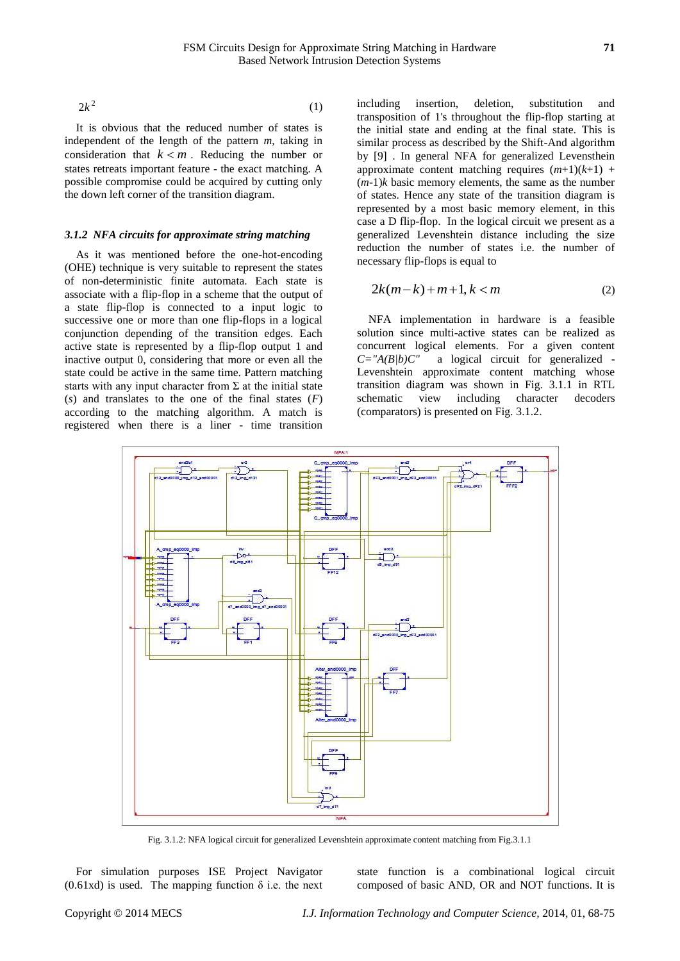$2k^2$  (1)

It is obvious that the reduced number of states is independent of the length of the pattern *m,* taking in consideration that  $k < m$ . Reducing the number or states retreats important feature - the exact matching. A possible compromise could be acquired by cutting only the down left corner of the transition diagram.

#### *3.1.2 NFA circuits for approximate string matching*

As it was mentioned before the one-hot-encoding (OHE) technique is very suitable to represent the states of non-deterministic finite automata. Each state is associate with a flip-flop in a scheme that the output of a state flip-flop is connected to a input logic to successive one or more than one flip-flops in a logical conjunction depending of the transition edges. Each active state is represented by a flip-flop output 1 and inactive output 0, considering that more or even all the state could be active in the same time. Pattern matching starts with any input character from  $\Sigma$  at the initial state (*s*) and translates to the one of the final states (*F*) according to the matching algorithm. A match is registered when there is a liner - time transition

including insertion, deletion, substitution and transposition of 1's throughout the flip-flop starting at the initial state and ending at the final state. This is similar process as described by the Shift-And algorithm by [\[9\] .](#page-6-7) In general NFA for generalized Levensthein approximate content matching requires  $(m+1)(k+1)$  +  $(m-1)$ *k* basic memory elements, the same as the number of states. Hence any state of the transition diagram is represented by a most basic memory element, in this case a D flip-flop. In the logical circuit we present as a generalized Levenshtein distance including the size reduction the number of states i.e. the number of necessary flip-flops is equal to

$$
2k(m-k)+m+1, k < m \tag{2}
$$

NFA implementation in hardware is a feasible solution since multi-active states can be realized as concurrent logical elements. For a given content *C="A(B|b)C"* a logical circuit for generalized - Levenshtein approximate content matching whose transition diagram was shown in Fig. 3.1.1 in RTL schematic view including character decoders (comparators) is presented on Fig. 3.1.2.



Fig. 3.1.2: NFA logical circuit for generalized Levenshtein approximate content matching from Fig.3.1.1

For simulation purposes ISE Project Navigator  $(0.61xd)$  is used. The mapping function  $\delta$  i.e. the next

state function is a combinational logical circuit composed of basic AND, OR and NOT functions. It is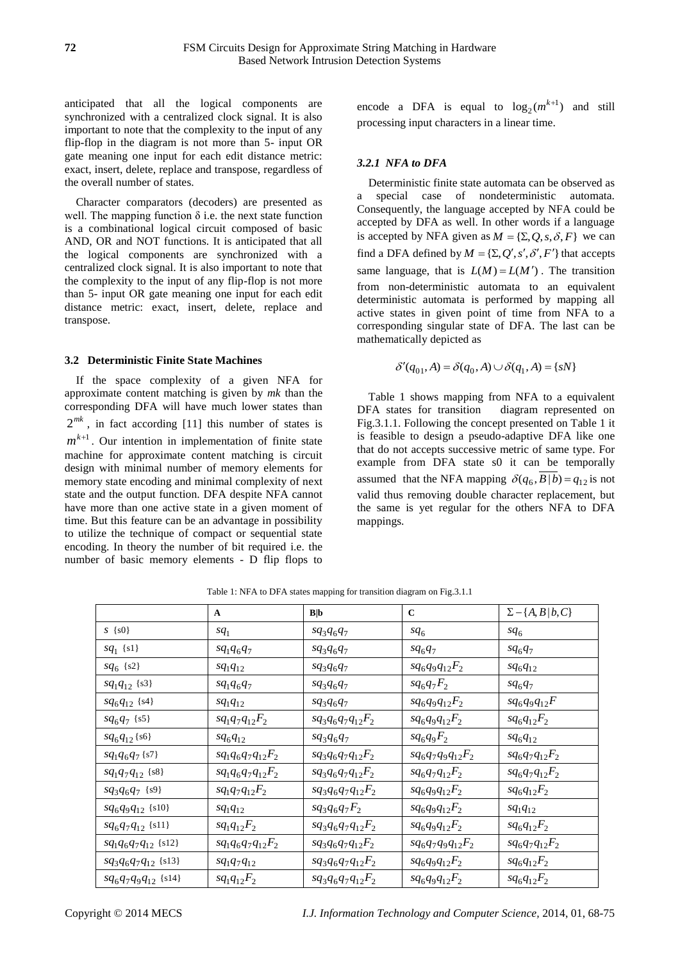anticipated that all the logical components are synchronized with a centralized clock signal. It is also important to note that the complexity to the input of any flip-flop in the diagram is not more than 5- input OR gate meaning one input for each edit distance metric: exact, insert, delete, replace and transpose, regardless of the overall number of states.

Character comparators (decoders) are presented as well. The mapping function  $\delta$  i.e. the next state function is a combinational logical circuit composed of basic AND, OR and NOT functions. It is anticipated that all the logical components are synchronized with a centralized clock signal. It is also important to note that the complexity to the input of any flip-flop is not more than 5- input OR gate meaning one input for each edit distance metric: exact, insert, delete, replace and transpose.

#### **3.2 Deterministic Finite State Machines**

If the space complexity of a given NFA for approximate content matching is given by *mk* than the corresponding DFA will have much lower states than  $2^{mk}$ , in fact according [\[11\] t](#page-6-8)his number of states is  $m^{k+1}$ . Our intention in implementation of finite state machine for approximate content matching is circuit design with minimal number of memory elements for memory state encoding and minimal complexity of next state and the output function. DFA despite NFA cannot have more than one active state in a given moment of time. But this feature can be an advantage in possibility to utilize the technique of compact or sequential state encoding. In theory the number of bit required i.e. the number of basic memory elements - D flip flops to

encode a DFA is equal to  $\log_2(m^{k+1})$  and still processing input characters in a linear time.

# *3.2.1 NFA to DFA*

Deterministic finite state automata can be observed as a special case of nondeterministic automata. Consequently, the language accepted by NFA could be accepted by DFA as well. In other words if a language is accepted by NFA given as  $M = \{\Sigma, Q, s, \delta, F\}$  we can find a DFA defined by  $M = \{ \Sigma, Q', s', \delta', F' \}$  that accepts same language, that is  $L(M) = L(M')$ . The transition from non-deterministic automata to an equivalent deterministic automata is performed by mapping all active states in given point of time from NFA to a corresponding singular state of DFA. The last can be mathematically depicted as

$$
\delta'(q_{01}, A) = \delta(q_0, A) \cup \delta(q_1, A) = \{sN\}
$$

Table 1 shows mapping from NFA to a equivalent DFA states for transition diagram represented on Fig.3.1.1. Following the concept presented on Table 1 it is feasible to design a pseudo-adaptive DFA like one that do not accepts successive metric of same type. For example from DFA state s0 it can be temporally assumed that the NFA mapping  $\delta(q_6, B | b) = q_{12}$  is not valid thus removing double character replacement, but the same is yet regular for the others NFA to DFA mappings.

|                          | $\mathbf{A}$          | B b                   | $\mathbf C$           | $\Sigma - \{A, B   b, C\}$ |
|--------------------------|-----------------------|-----------------------|-----------------------|----------------------------|
| $S \{s0\}$               | $sq_1$                | $sq_3q_6q_7$          | $sq_6$                | $sq_6$                     |
| $sq_1 \{s1\}$            | $sq_1q_6q_7$          | $sq_3q_6q_7$          | $sq_6q_7$             | $sq_6q_7$                  |
| $sq_6$ {s2}              | $sq_1q_{12}$          | $sq_3q_6q_7$          | $sq_6q_9q_{12}F_2$    | $sq_6q_{12}$               |
| $sq_1q_{12}$ {s3}        | $sq_1q_6q_7$          | $sq_3q_6q_7$          | $sq_6q_7F_2$          | $sq_6q_7$                  |
| $sq_6q_{12}$ {s4}        | $sq_1q_{12}$          | $sq_3q_6q_7$          | $sq_6q_9q_{12}F_2$    | $sq_6q_9q_{12}F$           |
| $sq_6q_7$ {s5}           | $sq_1q_7q_{12}F_2$    | $sq_3q_6q_7q_{12}F_2$ | $sq_6q_9q_{12}F_2$    | $sq_6q_{12}F_2$            |
| $sq_6q_{12}$ {s6}        | $sq_6q_{12}$          | $sq_3q_6q_7$          | $sq_6q_9F_2$          | $sq_6q_{12}$               |
| $sq_1q_6q_7$ {s7}        | $sq_1q_6q_7q_{12}F_2$ | $sq_3q_6q_7q_{12}F_2$ | $sq_6q_7q_9q_{12}F_2$ | $sq_6q_7q_{12}F_2$         |
| $sq_1q_7q_{12}$ {s8}     | $sq_1q_6q_7q_{12}F_2$ | $sq_3q_6q_7q_{12}F_2$ | $sq_6q_7q_{12}F_2$    | $sq_6q_7q_{12}F_2$         |
| $sq_3q_6q_7$ {s9}        | $sq_1q_7q_{12}F_2$    | $sq_3q_6q_7q_{12}F_2$ | $sq_6q_9q_{12}F_2$    | $sq_6q_{12}F_2$            |
| $sq_6q_9q_{12}$ {s10}    | $sq_1q_{12}$          | $sq_3q_6q_7F_2$       | $sq_6q_9q_{12}F_2$    | $sq_1q_{12}$               |
| $sq_6q_7q_{12}$ {s11}    | $sq_1q_{12}F_2$       | $sq_3q_6q_7q_{12}F_2$ | $sq_6q_9q_{12}F_2$    | $sq_6q_{12}F_2$            |
| $sq_1q_6q_7q_{12}$ {s12} | $sq_1q_6q_7q_{12}F_2$ | $sq_3q_6q_7q_{12}F_2$ | $sq_6q_7q_9q_{12}F_2$ | $sq_6q_7q_{12}F_2$         |
| $sq_3q_6q_7q_{12}$ {s13} | $sq_1q_7q_{12}$       | $sq_3q_6q_7q_{12}F_2$ | $sq_6q_9q_{12}F_2$    | $sq_6q_{12}F_2$            |
| $sq_6q_7q_9q_{12}$ {s14} | $sq_1q_{12}F_2$       | $sq_3q_6q_7q_{12}F_2$ | $sq_6q_9q_{12}F_2$    | $sq_6q_{12}F_2$            |

Table 1: NFA to DFA states mapping for transition diagram on Fig.3.1.1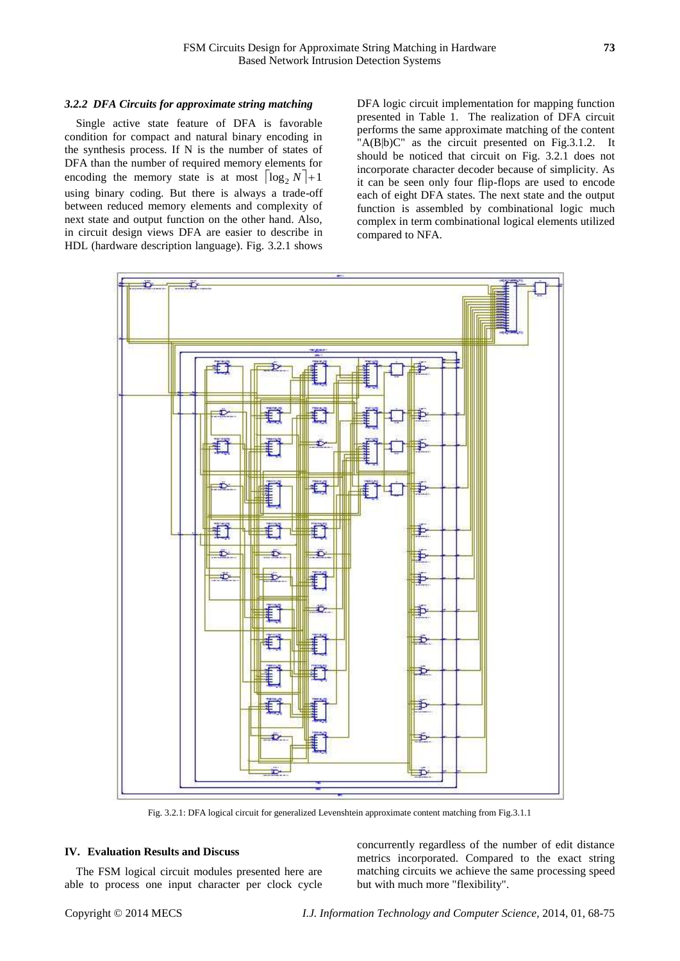#### *3.2.2 DFA Circuits for approximate string matching*

Single active state feature of DFA is favorable condition for compact and natural binary encoding in the synthesis process. If N is the number of states of DFA than the number of required memory elements for encoding the memory state is at most  $|\log_2 N|+1$ using binary coding. But there is always a trade-off between reduced memory elements and complexity of next state and output function on the other hand. Also, in circuit design views DFA are easier to describe in HDL (hardware description language). Fig. 3.2.1 shows

DFA logic circuit implementation for mapping function presented in Table 1. The realization of DFA circuit performs the same approximate matching of the content "A(B|b)C" as the circuit presented on Fig.3.1.2. It should be noticed that circuit on Fig. 3.2.1 does not incorporate character decoder because of simplicity. As it can be seen only four flip-flops are used to encode each of eight DFA states. The next state and the output function is assembled by combinational logic much complex in term combinational logical elements utilized compared to NFA.



Fig. 3.2.1: DFA logical circuit for generalized Levenshtein approximate content matching from Fig.3.1.1

#### **IV. Evaluation Results and Discuss**

The FSM logical circuit modules presented here are able to process one input character per clock cycle concurrently regardless of the number of edit distance metrics incorporated. Compared to the exact string matching circuits we achieve the same processing speed but with much more "flexibility".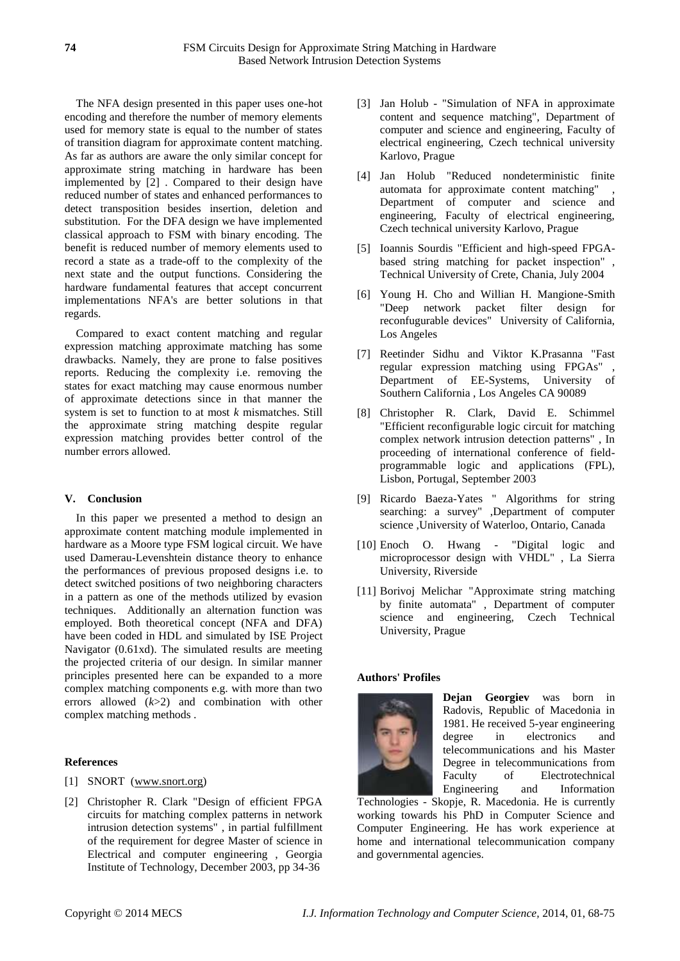The NFA design presented in this paper uses one-hot encoding and therefore the number of memory elements used for memory state is equal to the number of states of transition diagram for approximate content matching. As far as authors are aware the only similar concept for approximate string matching in hardware has been implemented by [\[2\] .](#page-6-1) Compared to their design have reduced number of states and enhanced performances to detect transposition besides insertion, deletion and substitution. For the DFA design we have implemented classical approach to FSM with binary encoding. The benefit is reduced number of memory elements used to record a state as a trade-off to the complexity of the next state and the output functions. Considering the hardware fundamental features that accept concurrent implementations NFA's are better solutions in that regards.

Compared to exact content matching and regular expression matching approximate matching has some drawbacks. Namely, they are prone to false positives reports. Reducing the complexity i.e. removing the states for exact matching may cause enormous number of approximate detections since in that manner the system is set to function to at most *k* mismatches. Still the approximate string matching despite regular expression matching provides better control of the number errors allowed.

# **V. Conclusion**

In this paper we presented a method to design an approximate content matching module implemented in hardware as a Moore type FSM logical circuit. We have used Damerau-Levenshtein distance theory to enhance the performances of previous proposed designs i.e. to detect switched positions of two neighboring characters in a pattern as one of the methods utilized by evasion techniques. Additionally an alternation function was employed. Both theoretical concept (NFA and DFA) have been coded in HDL and simulated by ISE Project Navigator (0.61xd). The simulated results are meeting the projected criteria of our design. In similar manner principles presented here can be expanded to a more complex matching components e.g. with more than two errors allowed (*k*>2) and combination with other complex matching methods .

# **References**

- <span id="page-6-0"></span>[1] SNORT (www.snort.org)
- <span id="page-6-1"></span>[2] Christopher R. Clark "Design of efficient FPGA circuits for matching complex patterns in network intrusion detection systems" , in partial fulfillment of the requirement for degree Master of science in Electrical and computer engineering , Georgia Institute of Technology, December 2003, pp 34-36
- <span id="page-6-2"></span>[3] Jan Holub - "Simulation of NFA in approximate content and sequence matching", Department of computer and science and engineering, Faculty of electrical engineering, Czech technical university Karlovo, Prague
- <span id="page-6-3"></span>[4] Jan Holub "Reduced nondeterministic finite automata for approximate content matching" Department of computer and science and engineering, Faculty of electrical engineering, Czech technical university Karlovo, Prague
- <span id="page-6-4"></span>[5] Ioannis Sourdis "Efficient and high-speed FPGAbased string matching for packet inspection" , Technical University of Crete, Chania, July 2004
- [6] Young H. Cho and Willian H. Mangione-Smith "Deep network packet filter design for reconfugurable devices" University of California, Los Angeles
- <span id="page-6-5"></span>[7] Reetinder Sidhu and Viktor K.Prasanna "Fast regular expression matching using FPGAs" Department of EE-Systems, University of Southern California , Los Angeles CA 90089
- <span id="page-6-6"></span>[8] Christopher R. Clark, David E. Schimmel "Efficient reconfigurable logic circuit for matching complex network intrusion detection patterns" , In proceeding of international conference of fieldprogrammable logic and applications (FPL), Lisbon, Portugal, September 2003
- <span id="page-6-7"></span>[9] Ricardo Baeza-Yates " Algorithms for string searching: a survey" ,Department of computer science ,University of Waterloo, Ontario, Canada
- [10] Enoch O. Hwang "Digital logic and microprocessor design with VHDL" , La Sierra University, Riverside
- <span id="page-6-8"></span>[11] Borivoj Melichar "Approximate string matching by finite automata" , Department of computer science and engineering, Czech Technical University, Prague

# **Authors' Profiles**



**Dejan Georgiev** was born in Radovis, Republic of Macedonia in 1981. He received 5-year engineering degree in electronics and telecommunications and his Master Degree in telecommunications from Faculty of Electrotechnical Engineering and Information

Technologies - Skopje, R. Macedonia. He is currently working towards his PhD in Computer Science and Computer Engineering. He has work experience at home and international telecommunication company and governmental agencies.